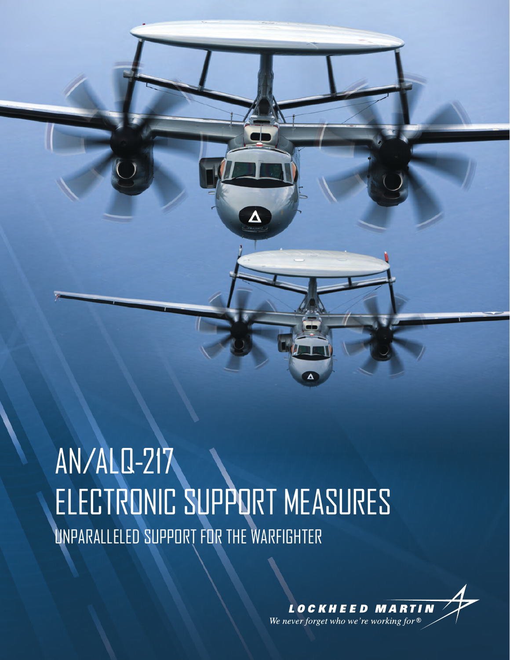# AN/ALQ-217 ELECTRONIC SUPPORT MEASURES UNPARALLELED SUPPORT FOR THE WARFIGHTER

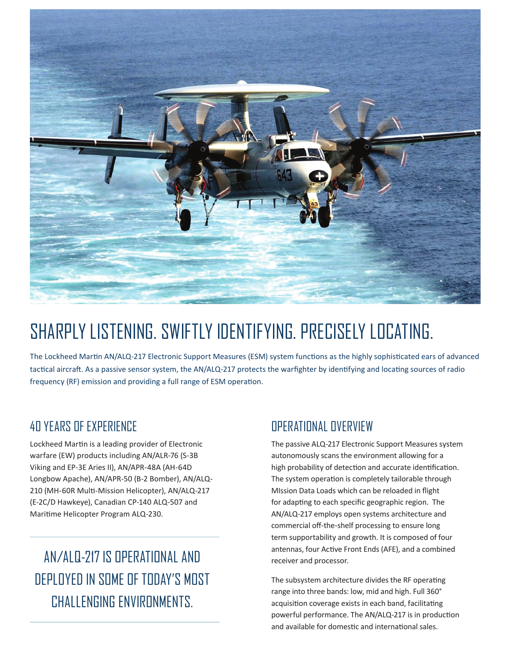

## SHARPLY LISTENING. SWIFTLY IDENTIFYING. PRECISELY LOCATING.

The Lockheed Martin AN/ALQ-217 Electronic Support Measures (ESM) system functions as the highly sophisticated ears of advanced tactical aircraft. As a passive sensor system, the AN/ALQ-217 protects the warfighter by identifying and locating sources of radio frequency (RF) emission and providing a full range of ESM operation.

#### 40 YEARS OF EXPERIENCE

Lockheed Martin is a leading provider of Electronic warfare (EW) products including AN/ALR-76 (S-3B Viking and EP-3E Aries II), AN/APR-48A (AH-64D Longbow Apache), AN/APR-50 (B-2 Bomber), AN/ALQ-210 (MH-60R Multi-Mission Helicopter), AN/ALQ-217 (E-2C/D Hawkeye), Canadian CP-140 ALQ-507 and Maritime Helicopter Program ALQ-230.

### AN/ALQ-217 IS OPERATIONAL AND DEPLOYED IN SOME OF TODAY'S MOST CHALLENGING ENVIRONMENTS.

#### OPERATIONAL OVERVIEW

The passive ALQ-217 Electronic Support Measures system autonomously scans the environment allowing for a high probability of detection and accurate identification. The system operation is completely tailorable through MIssion Data Loads which can be reloaded in flight for adapting to each specific geographic region. The AN/ALQ-217 employs open systems architecture and commercial off-the-shelf processing to ensure long term supportability and growth. It is composed of four antennas, four Active Front Ends (AFE), and a combined receiver and processor.

The subsystem architecture divides the RF operating range into three bands: low, mid and high. Full 360° acquisition coverage exists in each band, facilitating powerful performance. The AN/ALQ-217 is in production and available for domestic and international sales.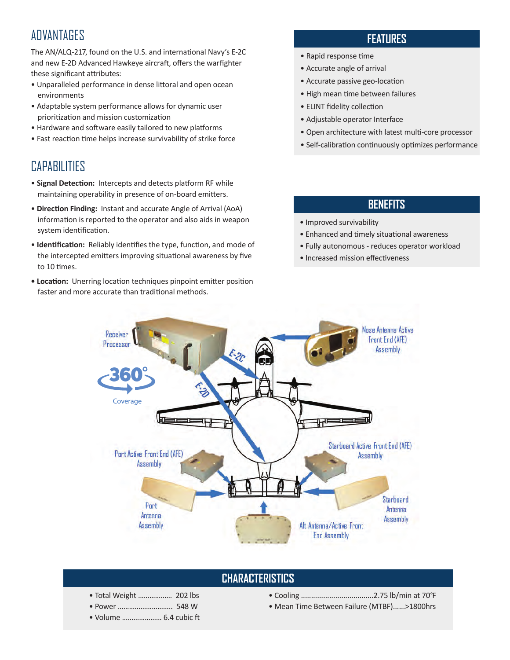#### **ADVANTAGES**

The AN/ALQ-217, found on the U.S. and international Navy's E-2C and new E-2D Advanced Hawkeye aircraft, offers the warfighter these significant attributes:

- Unparalleled performance in dense littoral and open ocean environments
- Adaptable system performance allows for dynamic user prioritization and mission customization
- Hardware and software easily tailored to new platforms
- Fast reaction time helps increase survivability of strike force

#### CAPABILITIES

- • **Signal Detection:** Intercepts and detects platform RF while maintaining operability in presence of on-board emitters.
- • **Direction Finding:** Instant and accurate Angle of Arrival (AoA) information is reported to the operator and also aids in weapon system identification.
- **Identification:** Reliably identifies the type, function, and mode of the intercepted emitters improving situational awareness by five to 10 times.
- **Location:** Unerring location techniques pinpoint emitter position faster and more accurate than traditional methods.

#### **FEATURES**

- Rapid response time
- Accurate angle of arrival
- Accurate passive geo-location
- High mean time between failures
- ELINT fidelity collection
- Adjustable operator Interface
- Open architecture with latest multi-core processor
- Self-calibration continuously optimizes performance

#### **BENEFITS**

- Improved survivability
- Enhanced and timely situational awareness
- Fully autonomous reduces operator workload
- Increased mission effectiveness



#### **CHARACTERISTICS**

- Total Weight ……………… 202 lbs
- Power ……………………….. 548 W
- Volume ………………… 6.4 cubic ft
- Cooling ....................................2.75 lb/min at 70°F
- Mean Time Between Failure (MTBF)......>1800hrs